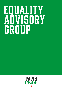# **EQUALITY**<br>ADVISORY GROUP

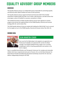# **EQUALITY ADVISORY GROUP MEMBERS**

#### **OVERVIEW**

The Equality Advisory Group is an independent group responsible for promoting equality and diversity within Welsh football and meets at least quarterly.

The Equality Advisory Group support the Board and Executive Staff of the Football Association of Wales (FAW) and FAW Trust to think, make decisions, and take actions that encourage a culture of football for everyone, everywhere in Wales.

The Football Association of Wales Equality Advisory Group meet regularly to monitor progress and oversee the implementation of the PAWB Equality, Diversity and Inclusion Strategy 2021-26 and its Action Plan.

The FAW Equality Advisory Group are tasked with holding the FAW & FAW Trust to account for the targets set out in the PAWB Equality, Diversity & Inclusion Action Plan 2021-26.

#### **MEMBER BIOS:**



# **SEAN WHARTON (CHAIR)**

Sean was the first Black player to be signed as an apprentice as a Professional Footballer at Sunderland AFC and the first Black manager in the Welsh football Premier League. He is currently completing his UEFA A Coaching qualification and coaches in the Cymru Leagues.

Sean is a qualified Social Worker and Therapeutic Fostercarer for complex and vulnerable children who have e experienced early years of trauma. He is an Anti-Racist Educator for Show Racism the Red Card delivering educational workshops around the UK. Sean also delivers safeguarding training for the FAW.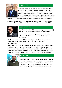

# **ARUN DANIEL**

Arun is the Director of Legal and Governance at City Football Group Limited, the holding company of Manchester City Football Club and Manchester City Women's Football Club. Arun is a member of City's internal ED&I Steering Group and was part of the English FA's Club Expert Panel that assisted with the creation of the English FA's Football Leadership Diversity Code. He has also recently been appointed to the

English FA's Women's Super League and Women's Championship Legal Advisory Group.

Arun qualified as a barrister before pursuing a legal career in corporate finance with an international law firm and then a global investment bank. He joined City in May 2018.



#### **NIGEL FLETCHER**

Nigel Fletcher is the CEO of the International Sports Convention (ISC) since 2010 which is B2B events, education and media company.

He currently holds other advisory roles in equality, diversity and inclusion with The Lawn Tennis Association (LTA)and Southampton Football Club.

Nigel is also a policy advisor to Fair Game advising on football governance, structural reform, football facilities (3G) and diversity and inclusion and Co-Chairs FootballEqualitynow.

He holds the UEFA B Coaching License and was previously employed at FIFA overseeing FIFA facilities and investment strategy. Nigel regularly presented to FIFA, UEFA, other Confederations, National Association committees and was involved in a number of FIFA World Cup operations (Youth, Women and Men). He has developed a number of strategic documents for the EU and lobbied EU bodies about the role of sport in the community.



### **JALAL GONI**

Jalal is a youth worker & BME Newport support worker at the Ethnic Minorities & Youth Support Team in Wales (EYST). He established the Exiles together Supporters group for Newport County AFC and Amar Cymru, Wales's South Asian supporter's group. He has vast experience in supporting BME communities in sport & society.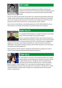

# **KATY EVANS**

Katy has recently been appointed to the NHS to research and implement interventions to enhance the health and wellbeing of the employees working across the Cardiff and Vale University Health Board.

Prior to this, Katy was the founder of the FAW Trust's grassroots participation programme 'Huddle', which introduces girls to football through an informal, female-only environment prior to the club game. Katy's passion for inclusive and accessible sport stems from a lifelong love for sport and her work across various grassroots sports in Wales.

Katy is driven to help influence and develop approaches within Welsh football to ensure that everyone in our Welsh communities has a positive experience of the game.



### **MARK PHILLIPS**

As a disabled football supporter, equality and inclusion have always been at the heart of Mark's journey with football.

Mark is a passionate Red Wall member who has been fortunate to follow Wales home and away in recent years. He previously worked

within football at for over 3 years at Swansea City AFC. During this period, I engaged with supporters to introduce new facilities and policies to create an inclusive environment. Additionally, I also supported academy players with life skills education on the importance of equality and embracing diversity.

Marks experience will be integral in helping the FAW develop its strategy and create an inclusive culture demonstrating that Welsh football welcomes all.



#### **PENNY MILES**

Dr Penny Miles is a Lecturer at the University of Bath. Her research explores gender and sexuality within institutional contexts relating to rights-based inclusion. Though her work has predominantly focussed on Latin America historically, she is currently studying

gender relations in Welsh football. The 3-year project has explored gender relations in Welsh footballing media, the fan bases of the men's and women's national teams, and the Football Association of Wales itself, in addition to conducting research with the senior women's national team.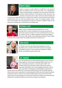

#### **ROBYN PINDER**

Robyn is a lecturer in Sports Ethics at Cardiff Met in the School of Sport and Health Sciences. She joined in 2012 as an undergraduate student and following the completion of her BSc in Sport and Physical Education, Robyn enrolled on a PhD (Sport) in 2016. Since then. she has been an Associate Tutor in Sport and Socio-Cultural Studies and

in 2018 she was appointed Lecturer in Sports Ethics. Robyn's research interests and activities predominantly focus on moral and equality issues in sport, for example, gender, sexism, racism and sexuality. She's been playing in the top tier of women's football in Wales for the best part of a decade and is a UEFA B Licence Football Coach.



#### **STEPHEN LLOYD**

Stephen Lloyd is a Registered Mental Health Nurse. He has volunteered for 12 years at Wrexham AFC and was previously the Community Lead for the Club. In his time at Wrexham AFC he has set up a women's group, an LGBTQ+ supporters group (Proud Dragons) and a men's peer support mental health group (Dragon Chat) amongst

numerous other projects within the equality, diversity and inclusion area.



#### **TERRI RICHIE**

Terri Ritchie is the Inclusion Department Manager for the LFC Foundation and is a member of the LGBT+ Sport Cymru network. Committed to inclusion, Terri has particular expertise in LGBTQ+, Gender and disability equality within sport.



#### **ZOE THACKER**

Zoe is the Equality Lead for Wales Golf (alongside the role of Director of Development). She has been working for Wales Golf for over 12 years, having been previously in a role with Sport Cardiff. Zoe champions equality and diversity at Wales Golf and has taken an active lead in the delivery of an inclusive golfing framework. She has been responsible for developing and embedding the organisation's

Equality Action Plan (2018-22), in conjunction with forming an Internal Equality Steering Group. Zoe has been responsible for coordinating Wales Golf's journey through the Equality Standards for Sport Framework. The impact brought about by her work has truly made positive steps to improving diversity and inclusion in golf across Wales at every level and has allowed her to develop and follow a personal area of passion and expertise.